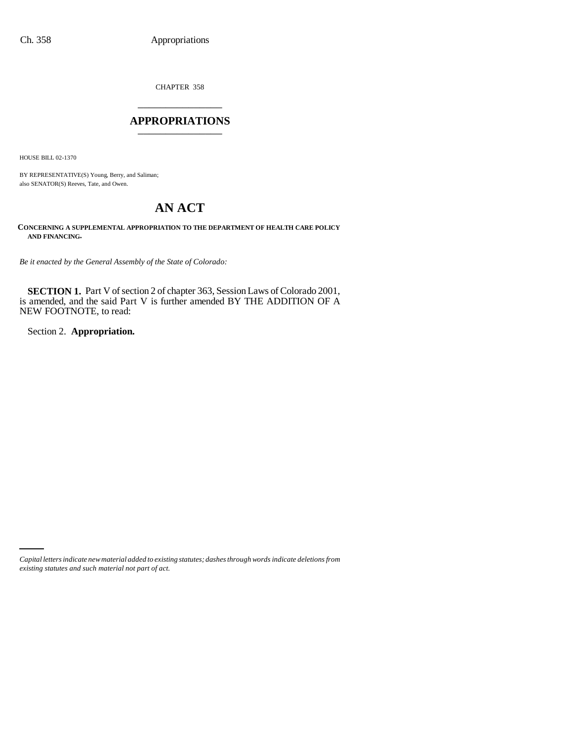CHAPTER 358 \_\_\_\_\_\_\_\_\_\_\_\_\_\_\_

## **APPROPRIATIONS** \_\_\_\_\_\_\_\_\_\_\_\_\_\_\_

HOUSE BILL 02-1370

BY REPRESENTATIVE(S) Young, Berry, and Saliman; also SENATOR(S) Reeves, Tate, and Owen.

# **AN ACT**

**CONCERNING A SUPPLEMENTAL APPROPRIATION TO THE DEPARTMENT OF HEALTH CARE POLICY AND FINANCING.**

*Be it enacted by the General Assembly of the State of Colorado:*

**SECTION 1.** Part V of section 2 of chapter 363, Session Laws of Colorado 2001, is amended, and the said Part V is further amended BY THE ADDITION OF A NEW FOOTNOTE, to read:

Section 2. **Appropriation.**

*Capital letters indicate new material added to existing statutes; dashes through words indicate deletions from existing statutes and such material not part of act.*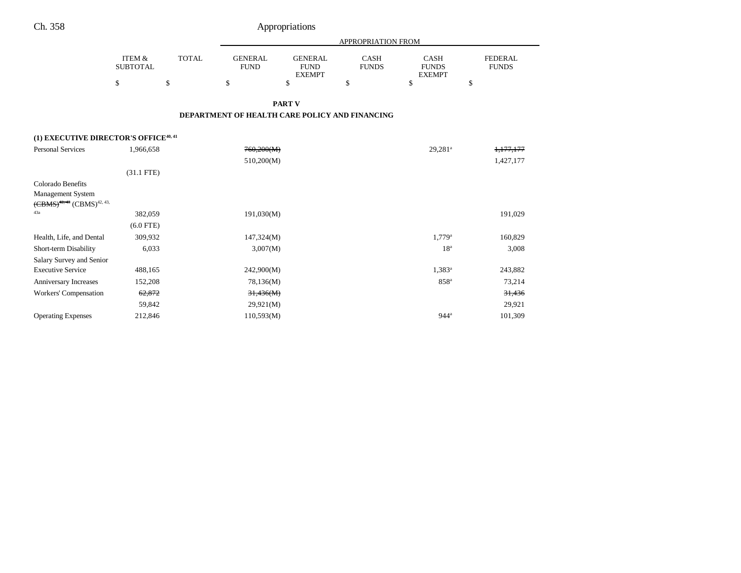|  |  | Appropriations |  |
|--|--|----------------|--|
|  |  |                |  |
|  |  |                |  |
|  |  |                |  |

|                                                                                |                           |              |                               |                                                | APPROPRIATION FROM                             |                                              |                                |
|--------------------------------------------------------------------------------|---------------------------|--------------|-------------------------------|------------------------------------------------|------------------------------------------------|----------------------------------------------|--------------------------------|
|                                                                                | ITEM &<br><b>SUBTOTAL</b> | <b>TOTAL</b> | <b>GENERAL</b><br><b>FUND</b> | <b>GENERAL</b><br><b>FUND</b><br><b>EXEMPT</b> | <b>CASH</b><br><b>FUNDS</b>                    | <b>CASH</b><br><b>FUNDS</b><br><b>EXEMPT</b> | <b>FEDERAL</b><br><b>FUNDS</b> |
|                                                                                | \$                        | \$           | \$                            | \$                                             | \$                                             | \$                                           | \$                             |
|                                                                                |                           |              |                               | <b>PART V</b>                                  |                                                |                                              |                                |
|                                                                                |                           |              |                               |                                                | DEPARTMENT OF HEALTH CARE POLICY AND FINANCING |                                              |                                |
| (1) EXECUTIVE DIRECTOR'S OFFICE <sup>40, 41</sup>                              |                           |              |                               |                                                |                                                |                                              |                                |
| <b>Personal Services</b>                                                       | 1,966,658                 |              | 760,200(M)                    |                                                |                                                | 29,281 <sup>a</sup>                          | 1,177,177                      |
|                                                                                |                           |              | 510,200(M)                    |                                                |                                                |                                              | 1,427,177                      |
|                                                                                | $(31.1$ FTE)              |              |                               |                                                |                                                |                                              |                                |
| Colorado Benefits                                                              |                           |              |                               |                                                |                                                |                                              |                                |
| <b>Management System</b><br>$(\text{CBMS})^{42,43}$ $(\text{CBMS})^{42,43,43}$ |                           |              |                               |                                                |                                                |                                              |                                |
| 43a                                                                            | 382,059                   |              | 191,030(M)                    |                                                |                                                |                                              | 191,029                        |
|                                                                                | $(6.0$ FTE)               |              |                               |                                                |                                                |                                              |                                |
| Health, Life, and Dental                                                       | 309,932                   |              | 147,324(M)                    |                                                |                                                | $1,779^{\rm a}$                              | 160,829                        |
| Short-term Disability                                                          | 6,033                     |              | 3,007(M)                      |                                                |                                                | 18 <sup>a</sup>                              | 3,008                          |
| Salary Survey and Senior                                                       |                           |              |                               |                                                |                                                |                                              |                                |
| <b>Executive Service</b>                                                       | 488,165                   |              | 242,900(M)                    |                                                |                                                | $1,383^a$                                    | 243,882                        |
| Anniversary Increases                                                          | 152,208                   |              | 78,136(M)                     |                                                |                                                | 858 <sup>a</sup>                             | 73,214                         |
| Workers' Compensation                                                          | 62,872                    |              | 31,436(M)                     |                                                |                                                |                                              | 31,436                         |
|                                                                                | 59,842                    |              | 29,921(M)                     |                                                |                                                |                                              | 29,921                         |
| <b>Operating Expenses</b>                                                      | 212,846                   |              | 110,593(M)                    |                                                |                                                | 944 <sup>a</sup>                             | 101,309                        |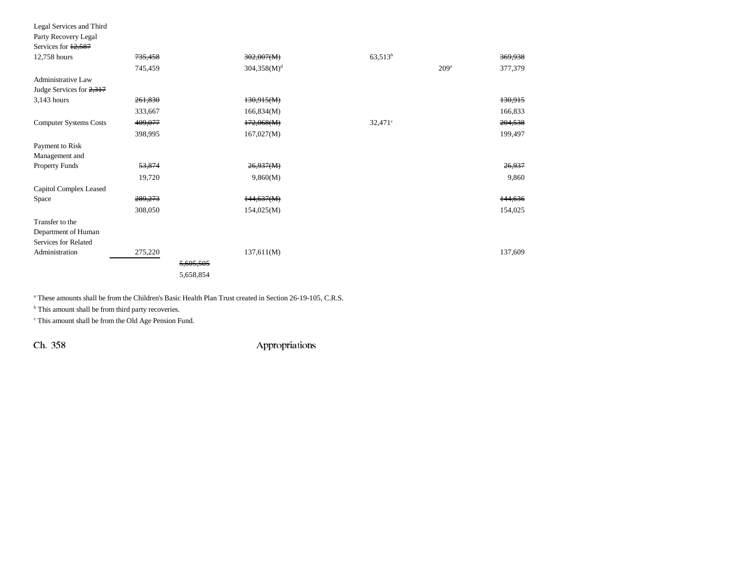| Legal Services and Third      |         |           |                |            |                  |         |
|-------------------------------|---------|-----------|----------------|------------|------------------|---------|
| Party Recovery Legal          |         |           |                |            |                  |         |
| Services for 12,587           |         |           |                |            |                  |         |
| 12,758 hours                  | 735,458 |           | 302,007(M)     | $63,513^b$ |                  | 369,938 |
|                               | 745,459 |           | $304,358(M)^d$ |            | 209 <sup>a</sup> | 377,379 |
| Administrative Law            |         |           |                |            |                  |         |
| Judge Services for 2,317      |         |           |                |            |                  |         |
| 3,143 hours                   | 261,830 |           | 130,915(M)     |            |                  | 130,915 |
|                               | 333,667 |           | 166,834(M)     |            |                  | 166,833 |
| <b>Computer Systems Costs</b> | 409,077 |           | 172,068(M)     | $32,471$ ° |                  | 204,538 |
|                               | 398,995 |           | 167,027(M)     |            |                  | 199,497 |
| Payment to Risk               |         |           |                |            |                  |         |
| Management and                |         |           |                |            |                  |         |
| <b>Property Funds</b>         | 53,874  |           | 26,937(M)      |            |                  | 26,937  |
|                               | 19,720  |           | 9,860(M)       |            |                  | 9,860   |
| Capitol Complex Leased        |         |           |                |            |                  |         |
| Space                         | 289,273 |           | 144,637(M)     |            |                  | 144,636 |
|                               | 308,050 |           | 154,025(M)     |            |                  | 154,025 |
| Transfer to the               |         |           |                |            |                  |         |
| Department of Human           |         |           |                |            |                  |         |
| Services for Related          |         |           |                |            |                  |         |
| Administration                | 275,220 |           | 137,611(M)     |            |                  | 137,609 |
|                               |         | 5,605,505 |                |            |                  |         |
|                               |         | 5,658,854 |                |            |                  |         |

a These amounts shall be from the Children's Basic Health Plan Trust created in Section 26-19-105, C.R.S.

 $^{\rm b}$  This amount shall be from third party recoveries.

 $\,^{\mathrm{c}}$  This amount shall be from the Old Age Pension Fund.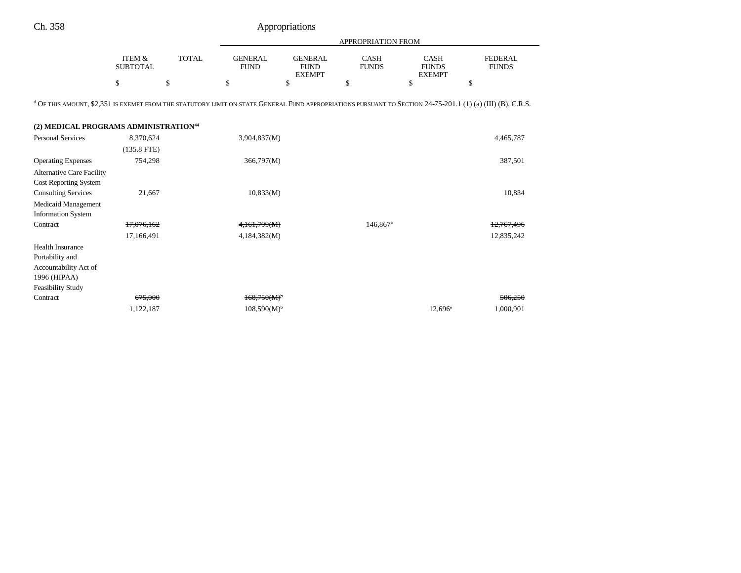|                                                                                                                                                                        |                                      |              |                               |                                                | APPROPRIATION FROM          |                                              |                                |
|------------------------------------------------------------------------------------------------------------------------------------------------------------------------|--------------------------------------|--------------|-------------------------------|------------------------------------------------|-----------------------------|----------------------------------------------|--------------------------------|
|                                                                                                                                                                        | <b>ITEM &amp;</b><br><b>SUBTOTAL</b> | <b>TOTAL</b> | <b>GENERAL</b><br><b>FUND</b> | <b>GENERAL</b><br><b>FUND</b><br><b>EXEMPT</b> | <b>CASH</b><br><b>FUNDS</b> | <b>CASH</b><br><b>FUNDS</b><br><b>EXEMPT</b> | <b>FEDERAL</b><br><b>FUNDS</b> |
|                                                                                                                                                                        | \$                                   | \$           | \$                            | \$                                             | \$                          | $\mathcal{S}$                                | \$                             |
| <sup>d</sup> OF THIS AMOUNT, \$2,351 IS EXEMPT FROM THE STATUTORY LIMIT ON STATE GENERAL FUND APPROPRIATIONS PURSUANT TO SECTION 24-75-201.1 (1) (a) (III) (B), C.R.S. |                                      |              |                               |                                                |                             |                                              |                                |
| (2) MEDICAL PROGRAMS ADMINISTRATION <sup>44</sup>                                                                                                                      |                                      |              |                               |                                                |                             |                                              |                                |
| <b>Personal Services</b>                                                                                                                                               | 8,370,624                            |              | 3,904,837(M)                  |                                                |                             |                                              | 4,465,787                      |
|                                                                                                                                                                        | $(135.8$ FTE)                        |              |                               |                                                |                             |                                              |                                |
| <b>Operating Expenses</b>                                                                                                                                              | 754,298                              |              | 366,797(M)                    |                                                |                             |                                              | 387,501                        |
| <b>Alternative Care Facility</b>                                                                                                                                       |                                      |              |                               |                                                |                             |                                              |                                |
| Cost Reporting System                                                                                                                                                  |                                      |              |                               |                                                |                             |                                              |                                |
| <b>Consulting Services</b>                                                                                                                                             | 21,667                               |              | 10,833(M)                     |                                                |                             |                                              | 10,834                         |
| Medicaid Management                                                                                                                                                    |                                      |              |                               |                                                |                             |                                              |                                |
| <b>Information System</b>                                                                                                                                              |                                      |              |                               |                                                |                             |                                              |                                |
| Contract                                                                                                                                                               | 17,076,162                           |              | 4,161,799(M)                  |                                                | 146,867 <sup>a</sup>        |                                              | 12,767,496                     |
|                                                                                                                                                                        | 17,166,491                           |              | 4,184,382(M)                  |                                                |                             |                                              | 12,835,242                     |
| <b>Health Insurance</b>                                                                                                                                                |                                      |              |                               |                                                |                             |                                              |                                |
| Portability and                                                                                                                                                        |                                      |              |                               |                                                |                             |                                              |                                |
| Accountability Act of                                                                                                                                                  |                                      |              |                               |                                                |                             |                                              |                                |
| 1996 (HIPAA)<br><b>Feasibility Study</b>                                                                                                                               |                                      |              |                               |                                                |                             |                                              |                                |
| Contract                                                                                                                                                               | 675,000                              |              | 168,750(M)                    |                                                |                             |                                              | 506,250                        |
|                                                                                                                                                                        | 1,122,187                            |              | $108,590(M)$ <sup>b</sup>     |                                                |                             | $12,696^{\circ}$                             | 1,000,901                      |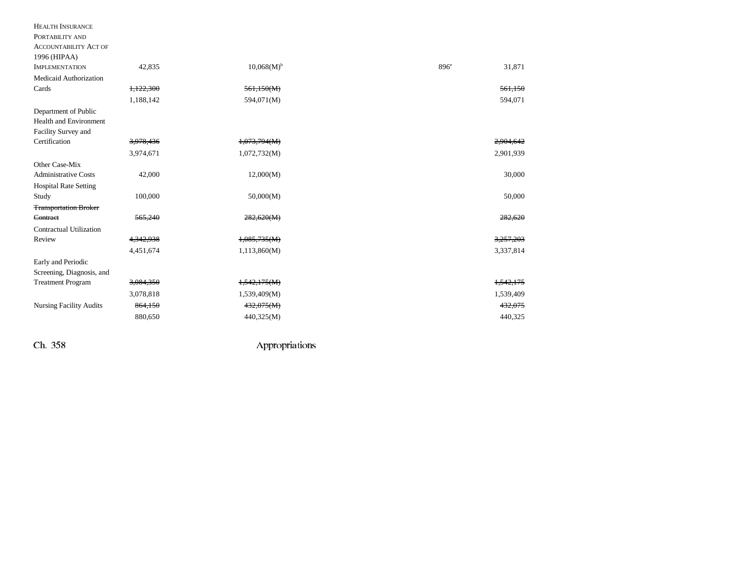| <b>HEALTH INSURANCE</b>        |           |                          |                            |
|--------------------------------|-----------|--------------------------|----------------------------|
| PORTABILITY AND                |           |                          |                            |
| <b>ACCOUNTABILITY ACT OF</b>   |           |                          |                            |
| 1996 (HIPAA)                   |           |                          |                            |
| <b>IMPLEMENTATION</b>          | 42,835    | $10,068(M)$ <sup>b</sup> | 896 <sup>e</sup><br>31,871 |
| Medicaid Authorization         |           |                          |                            |
| Cards                          | 1,122,300 | 561,150(M)               | 561,150                    |
|                                | 1,188,142 | 594,071(M)               | 594,071                    |
| Department of Public           |           |                          |                            |
| <b>Health and Environment</b>  |           |                          |                            |
| Facility Survey and            |           |                          |                            |
| Certification                  | 3,978,436 | 1,073,794(M)             | 2,904,642                  |
|                                | 3,974,671 | 1,072,732(M)             | 2,901,939                  |
| Other Case-Mix                 |           |                          |                            |
| <b>Administrative Costs</b>    | 42,000    | 12,000(M)                | 30,000                     |
| <b>Hospital Rate Setting</b>   |           |                          |                            |
| Study                          | 100,000   | 50,000(M)                | 50,000                     |
| <b>Transportation Broker</b>   |           |                          |                            |
| Contract                       | 565,240   | 282,620(M)               | 282,620                    |
| <b>Contractual Utilization</b> |           |                          |                            |
| Review                         | 4,342,938 | 1,085,735(M)             | 3,257,203                  |
|                                | 4,451,674 | 1,113,860(M)             | 3,337,814                  |
| Early and Periodic             |           |                          |                            |
| Screening, Diagnosis, and      |           |                          |                            |
| <b>Treatment Program</b>       | 3,084,350 | 1,542,175(M)             | 1.542.175                  |
|                                | 3,078,818 | 1,539,409(M)             | 1,539,409                  |
| <b>Nursing Facility Audits</b> | 864,150   | 432,075(M)               | 432,075                    |
|                                | 880,650   | 440,325(M)               | 440,325                    |
|                                |           |                          |                            |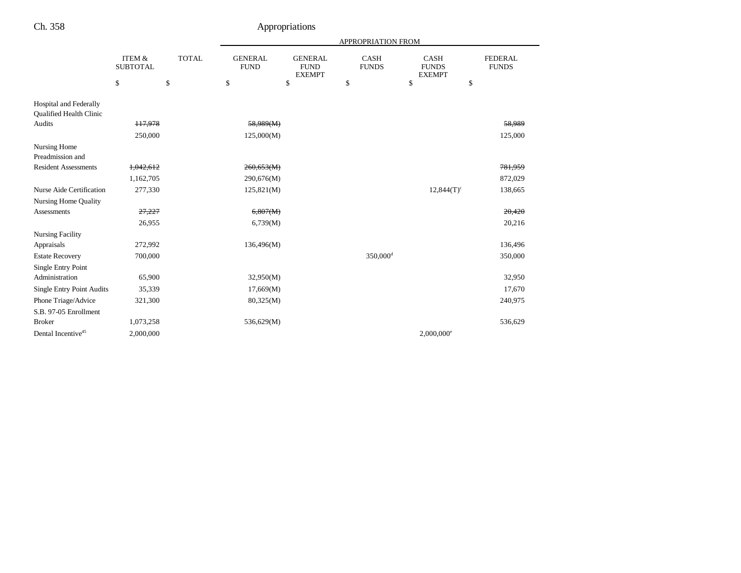| п. |  |
|----|--|
|    |  |

# Appropriations

|                                                   |                                      |              |                               |                                                | <b>APPROPRIATION FROM</b>   |                                              |                                |
|---------------------------------------------------|--------------------------------------|--------------|-------------------------------|------------------------------------------------|-----------------------------|----------------------------------------------|--------------------------------|
|                                                   | <b>ITEM &amp;</b><br><b>SUBTOTAL</b> | <b>TOTAL</b> | <b>GENERAL</b><br><b>FUND</b> | <b>GENERAL</b><br><b>FUND</b><br><b>EXEMPT</b> | <b>CASH</b><br><b>FUNDS</b> | <b>CASH</b><br><b>FUNDS</b><br><b>EXEMPT</b> | <b>FEDERAL</b><br><b>FUNDS</b> |
|                                                   | \$                                   | \$           | \$                            | \$                                             | \$                          | \$                                           | \$                             |
| Hospital and Federally<br>Qualified Health Clinic |                                      |              |                               |                                                |                             |                                              |                                |
| Audits                                            | 117,978                              |              | 58,989(M)                     |                                                |                             |                                              | 58,989                         |
|                                                   | 250,000                              |              | 125,000(M)                    |                                                |                             |                                              | 125,000                        |
| Nursing Home<br>Preadmission and                  |                                      |              |                               |                                                |                             |                                              |                                |
| <b>Resident Assessments</b>                       | 1,042,612                            |              | 260,653(M)                    |                                                |                             |                                              | 781,959                        |
|                                                   | 1,162,705                            |              | 290,676(M)                    |                                                |                             |                                              | 872,029                        |
| Nurse Aide Certification                          | 277,330                              |              | 125,821(M)                    |                                                |                             | $12,844(T)$ <sup>c</sup>                     | 138,665                        |
| Nursing Home Quality                              |                                      |              |                               |                                                |                             |                                              |                                |
| <b>Assessments</b>                                | 27,227                               |              | 6,807(M)                      |                                                |                             |                                              | 20,420                         |
|                                                   | 26,955                               |              | 6,739(M)                      |                                                |                             |                                              | 20,216                         |
| <b>Nursing Facility</b>                           |                                      |              |                               |                                                |                             |                                              |                                |
| Appraisals                                        | 272,992                              |              | 136,496(M)                    |                                                |                             |                                              | 136,496                        |
| <b>Estate Recovery</b>                            | 700,000                              |              |                               |                                                | 350,000 <sup>d</sup>        |                                              | 350,000                        |
| Single Entry Point                                |                                      |              |                               |                                                |                             |                                              |                                |
| Administration                                    | 65,900                               |              | 32,950(M)                     |                                                |                             |                                              | 32,950                         |
| <b>Single Entry Point Audits</b>                  | 35,339                               |              | 17,669(M)                     |                                                |                             |                                              | 17,670                         |
| Phone Triage/Advice                               | 321,300                              |              | 80,325(M)                     |                                                |                             |                                              | 240,975                        |
| S.B. 97-05 Enrollment                             |                                      |              |                               |                                                |                             |                                              |                                |
| <b>Broker</b>                                     | 1,073,258                            |              | 536,629(M)                    |                                                |                             |                                              | 536,629                        |
| Dental Incentive <sup>45</sup>                    | 2,000,000                            |              |                               |                                                |                             | $2,000,000$ <sup>e</sup>                     |                                |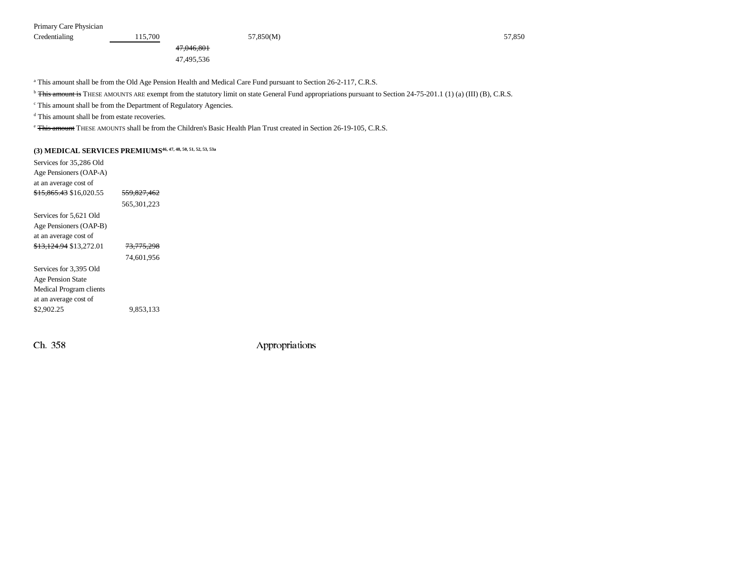Primary Care Physician

Credentialing 115,700 115,700 57,850(M) 57,850 57,850 57,850 47,046,801

47,495,536

a This amount shall be from the Old Age Pension Health and Medical Care Fund pursuant to Section 26-2-117, C.R.S.

<sup>b</sup> This amount is THESE AMOUNTS ARE exempt from the statutory limit on state General Fund appropriations pursuant to Section 24-75-201.1 (1) (a) (III) (B), C.R.S.

c This amount shall be from the Department of Regulatory Agencies.

d This amount shall be from estate recoveries.

<sup>e</sup> This amount THESE AMOUNTS shall be from the Children's Basic Health Plan Trust created in Section 26-19-105, C.R.S.

## **(3) MEDICAL SERVICES PREMIUMS46, 47, 48, 50, 51, 52, 53, 53a**

| Services for 35,286 Old            |                        |
|------------------------------------|------------------------|
| Age Pensioners (OAP-A)             |                        |
| at an average cost of              |                        |
| <del>\$15.865.43</del> \$16,020.55 | <del>559,827,462</del> |
|                                    | 565, 301, 223          |
| Services for 5,621 Old             |                        |
| Age Pensioners (OAP-B)             |                        |
| at an average cost of              |                        |
| <del>\$13.124.94</del> \$13.272.01 | <del>73.775.298</del>  |
|                                    | 74.601.956             |
| Services for 3.395 Old             |                        |
| <b>Age Pension State</b>           |                        |
| Medical Program clients            |                        |
| at an average cost of              |                        |
| \$2.902.25                         | 9.853.133              |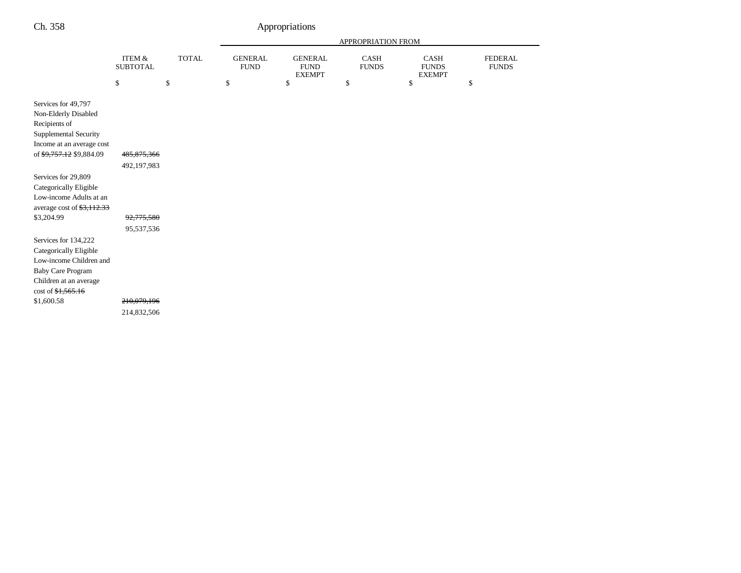|                                                                                                                                                |                                          |              | APPROPRIATION FROM            |                                                |                             |                                       |                                |  |
|------------------------------------------------------------------------------------------------------------------------------------------------|------------------------------------------|--------------|-------------------------------|------------------------------------------------|-----------------------------|---------------------------------------|--------------------------------|--|
|                                                                                                                                                | ITEM &<br><b>SUBTOTAL</b>                | <b>TOTAL</b> | <b>GENERAL</b><br><b>FUND</b> | <b>GENERAL</b><br><b>FUND</b><br><b>EXEMPT</b> | <b>CASH</b><br><b>FUNDS</b> | CASH<br><b>FUNDS</b><br><b>EXEMPT</b> | <b>FEDERAL</b><br><b>FUNDS</b> |  |
|                                                                                                                                                | \$                                       | \$           | $\$$                          | \$                                             | \$                          | \$                                    | \$                             |  |
| Services for 49,797<br>Non-Elderly Disabled<br>Recipients of<br>Supplemental Security<br>Income at an average cost<br>of \$9,757.12 \$9,884.09 | 485,875,366                              |              |                               |                                                |                             |                                       |                                |  |
| Services for 29,809                                                                                                                            | 492,197,983                              |              |                               |                                                |                             |                                       |                                |  |
| Categorically Eligible<br>Low-income Adults at an<br>average cost of \$3,112.33                                                                |                                          |              |                               |                                                |                             |                                       |                                |  |
| \$3,204.99                                                                                                                                     | 92,775,580                               |              |                               |                                                |                             |                                       |                                |  |
| Services for 134,222<br>Categorically Eligible<br>Low-income Children and<br><b>Baby Care Program</b><br>Children at an average<br>\$1,600.58  | 95,537,536<br>210,079,196<br>214,832,506 |              |                               |                                                |                             |                                       |                                |  |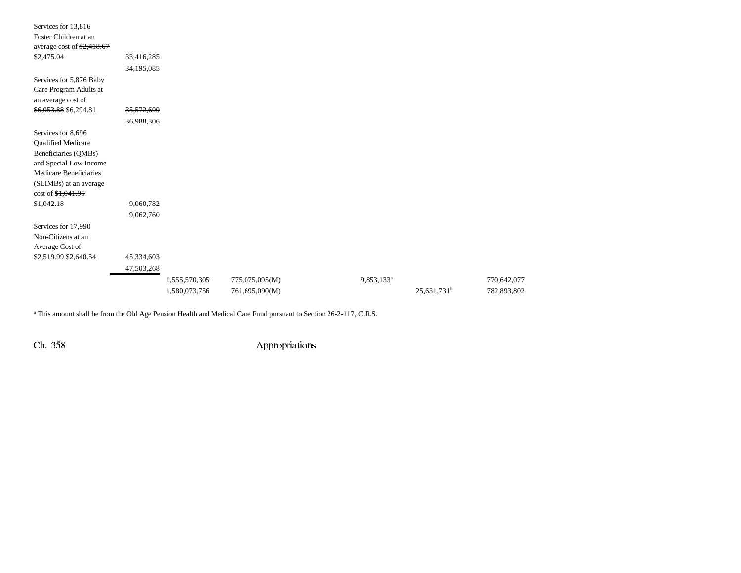| Services for 13,816<br>Foster Children at an<br>average cost of $\frac{$2,418.67}{}$ |            |                          |                |                        |                         |             |
|--------------------------------------------------------------------------------------|------------|--------------------------|----------------|------------------------|-------------------------|-------------|
| \$2,475.04                                                                           | 33,416,285 |                          |                |                        |                         |             |
|                                                                                      | 34,195,085 |                          |                |                        |                         |             |
| Services for 5,876 Baby                                                              |            |                          |                |                        |                         |             |
| Care Program Adults at                                                               |            |                          |                |                        |                         |             |
| an average cost of                                                                   |            |                          |                |                        |                         |             |
| \$6,053.88 \$6,294.81                                                                | 35,572,600 |                          |                |                        |                         |             |
|                                                                                      | 36,988,306 |                          |                |                        |                         |             |
| Services for 8,696                                                                   |            |                          |                |                        |                         |             |
| <b>Qualified Medicare</b>                                                            |            |                          |                |                        |                         |             |
| Beneficiaries (QMBs)                                                                 |            |                          |                |                        |                         |             |
| and Special Low-Income                                                               |            |                          |                |                        |                         |             |
| Medicare Beneficiaries                                                               |            |                          |                |                        |                         |             |
| (SLIMBs) at an average                                                               |            |                          |                |                        |                         |             |
| $\cot 63, 041.95$                                                                    |            |                          |                |                        |                         |             |
| \$1,042.18                                                                           | 9,060,782  |                          |                |                        |                         |             |
|                                                                                      | 9,062,760  |                          |                |                        |                         |             |
| Services for 17,990                                                                  |            |                          |                |                        |                         |             |
| Non-Citizens at an                                                                   |            |                          |                |                        |                         |             |
| Average Cost of                                                                      |            |                          |                |                        |                         |             |
| \$2,519.99 \$2,640.54                                                                | 45,334,603 |                          |                |                        |                         |             |
|                                                                                      | 47,503,268 |                          |                |                        |                         |             |
|                                                                                      |            | <del>1,555,570,305</del> | 775,075,095(M) | 9,853,133 <sup>a</sup> |                         | 770,642,077 |
|                                                                                      |            | 1,580,073,756            | 761,695,090(M) |                        | 25,631,731 <sup>b</sup> | 782,893,802 |

<sup>a</sup> This amount shall be from the Old Age Pension Health and Medical Care Fund pursuant to Section 26-2-117, C.R.S.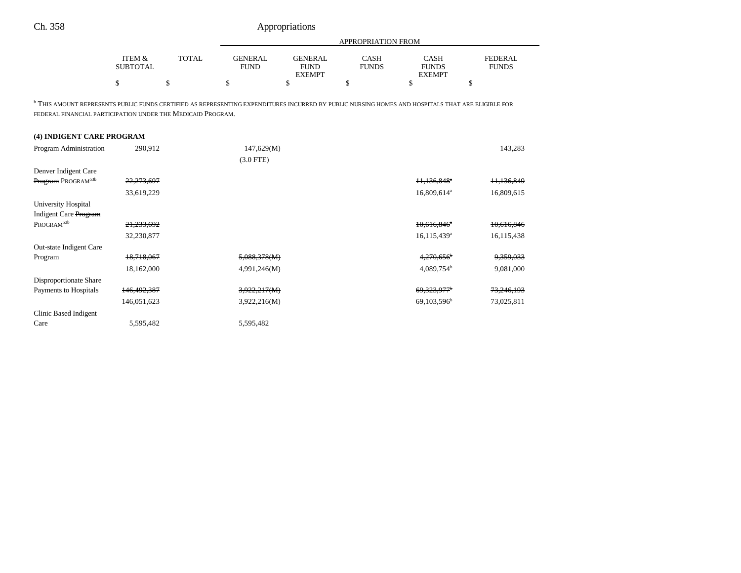|                                                                                                                                                                                                                             |                           |              | <b>APPROPRIATION FROM</b>     |                                                |                             |                                              |                                |  |  |
|-----------------------------------------------------------------------------------------------------------------------------------------------------------------------------------------------------------------------------|---------------------------|--------------|-------------------------------|------------------------------------------------|-----------------------------|----------------------------------------------|--------------------------------|--|--|
|                                                                                                                                                                                                                             | ITEM &<br><b>SUBTOTAL</b> | <b>TOTAL</b> | <b>GENERAL</b><br><b>FUND</b> | <b>GENERAL</b><br><b>FUND</b><br><b>EXEMPT</b> | <b>CASH</b><br><b>FUNDS</b> | <b>CASH</b><br><b>FUNDS</b><br><b>EXEMPT</b> | <b>FEDERAL</b><br><b>FUNDS</b> |  |  |
|                                                                                                                                                                                                                             | \$                        | \$           | \$                            | $\mathbf S$                                    | \$                          | \$                                           | \$                             |  |  |
| <sup>b</sup> THIS AMOUNT REPRESENTS PUBLIC FUNDS CERTIFIED AS REPRESENTING EXPENDITURES INCURRED BY PUBLIC NURSING HOMES AND HOSPITALS THAT ARE ELIGIBLE FOR<br>FEDERAL FINANCIAL PARTICIPATION UNDER THE MEDICAID PROGRAM. |                           |              |                               |                                                |                             |                                              |                                |  |  |
| (4) INDIGENT CARE PROGRAM                                                                                                                                                                                                   |                           |              |                               |                                                |                             |                                              |                                |  |  |
| Program Administration                                                                                                                                                                                                      | 290,912                   |              | 147,629(M)                    |                                                |                             |                                              | 143,283                        |  |  |
|                                                                                                                                                                                                                             |                           |              | $(3.0$ FTE)                   |                                                |                             |                                              |                                |  |  |
| Denver Indigent Care                                                                                                                                                                                                        |                           |              |                               |                                                |                             |                                              |                                |  |  |
| Program PROGRAM <sup>53b</sup>                                                                                                                                                                                              | 22,273,697                |              |                               |                                                |                             | $11,136,848$ <sup>*</sup>                    | 11,136,849                     |  |  |
|                                                                                                                                                                                                                             | 33,619,229                |              |                               |                                                |                             | 16,809,614 <sup>a</sup>                      | 16,809,615                     |  |  |
| University Hospital                                                                                                                                                                                                         |                           |              |                               |                                                |                             |                                              |                                |  |  |
| Indigent Care Program                                                                                                                                                                                                       |                           |              |                               |                                                |                             |                                              |                                |  |  |
| PROGRAM <sup>53b</sup>                                                                                                                                                                                                      | 21,233,692                |              |                               |                                                |                             | $10,616,846$ <sup>*</sup>                    | 10,616,846                     |  |  |
|                                                                                                                                                                                                                             | 32,230,877                |              |                               |                                                |                             | 16,115,439 <sup>a</sup>                      | 16,115,438                     |  |  |
| Out-state Indigent Care                                                                                                                                                                                                     |                           |              |                               |                                                |                             |                                              |                                |  |  |
| Program                                                                                                                                                                                                                     | 18.718.067                |              | 5,088,378(M)                  |                                                |                             | $4,270,656$ <sup>b</sup>                     | 9,359,033                      |  |  |
|                                                                                                                                                                                                                             | 18,162,000                |              | 4,991,246(M)                  |                                                |                             | 4,089,754 <sup>b</sup>                       | 9,081,000                      |  |  |
| Disproportionate Share                                                                                                                                                                                                      |                           |              |                               |                                                |                             |                                              |                                |  |  |
| Payments to Hospitals                                                                                                                                                                                                       | 146,492,387               |              | 3,922,217(M)                  |                                                |                             | 69.323.977 <sup>b</sup>                      | 73,246,193                     |  |  |
|                                                                                                                                                                                                                             | 146,051,623               |              | 3,922,216(M)                  |                                                |                             | 69,103,596 <sup>b</sup>                      | 73,025,811                     |  |  |
| Clinic Based Indigent                                                                                                                                                                                                       |                           |              |                               |                                                |                             |                                              |                                |  |  |
| Care                                                                                                                                                                                                                        | 5,595,482                 |              | 5.595.482                     |                                                |                             |                                              |                                |  |  |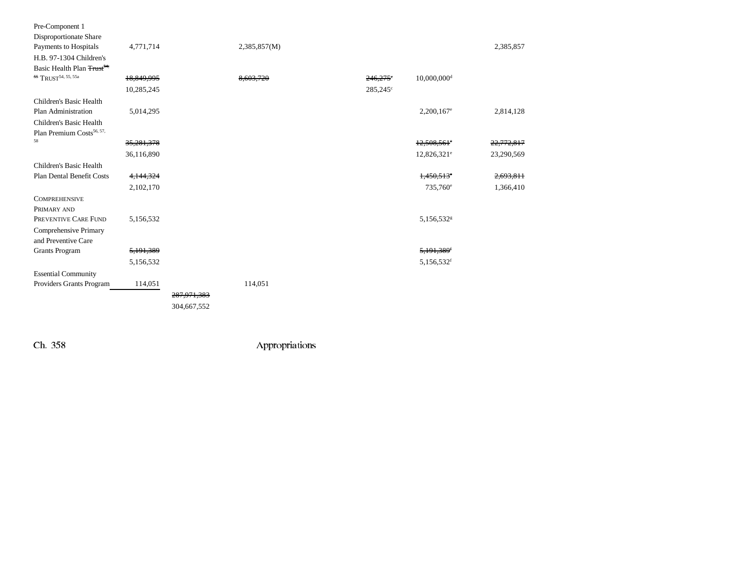| Pre-Component 1                              |            |               |              |                   |                           |            |
|----------------------------------------------|------------|---------------|--------------|-------------------|---------------------------|------------|
| Disproportionate Share                       |            |               |              |                   |                           |            |
| Payments to Hospitals                        | 4,771,714  |               | 2,385,857(M) |                   |                           | 2,385,857  |
| H.B. 97-1304 Children's                      |            |               |              |                   |                           |            |
| Basic Health Plan Trust <sup>54,</sup>       |            |               |              |                   |                           |            |
| 55 TRUST <sup>54, 55, 55a</sup>              | 18,849,995 |               | 8,603,720    | $246,275$ °       | $10,000,000$ <sup>d</sup> |            |
|                                              | 10,285,245 |               |              | $285,245^{\circ}$ |                           |            |
| Children's Basic Health                      |            |               |              |                   |                           |            |
| Plan Administration                          | 5,014,295  |               |              |                   | $2,200,167$ <sup>e</sup>  | 2,814,128  |
| Children's Basic Health                      |            |               |              |                   |                           |            |
| Plan Premium Costs <sup>56, 57,</sup>        |            |               |              |                   |                           |            |
| 58                                           | 35,281,378 |               |              |                   | $12,508,561$ °            | 22,772,817 |
|                                              | 36,116,890 |               |              |                   | 12,826,321 <sup>e</sup>   | 23,290,569 |
| Children's Basic Health                      |            |               |              |                   |                           |            |
| Plan Dental Benefit Costs                    | 4,144,324  |               |              |                   | $1,450,513$ <sup>e</sup>  | 2,693,811  |
|                                              | 2,102,170  |               |              |                   | 735,760 <sup>e</sup>      | 1,366,410  |
| <b>COMPREHENSIVE</b>                         |            |               |              |                   |                           |            |
| PRIMARY AND                                  |            |               |              |                   |                           |            |
| PREVENTIVE CARE FUND                         | 5,156,532  |               |              |                   | 5,156,532 <sup>g</sup>    |            |
| Comprehensive Primary<br>and Preventive Care |            |               |              |                   |                           |            |
| <b>Grants Program</b>                        | 5,191,389  |               |              |                   | 5,191,389 <sup>f</sup>    |            |
|                                              | 5,156,532  |               |              |                   | 5,156,532 <sup>f</sup>    |            |
| <b>Essential Community</b>                   |            |               |              |                   |                           |            |
| Providers Grants Program                     | 114,051    |               | 114,051      |                   |                           |            |
|                                              |            | 287, 971, 383 |              |                   |                           |            |
|                                              |            | 304,667,552   |              |                   |                           |            |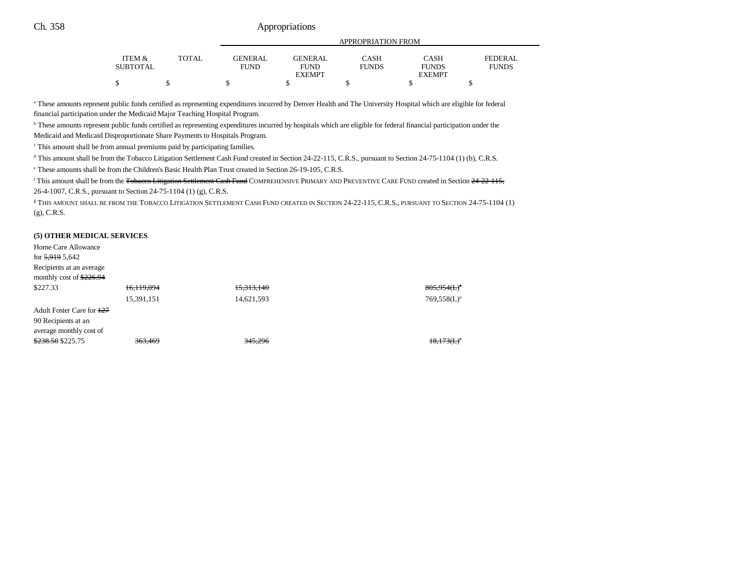|                                 |              |             | APPROPRIATION FROM |              |               |                |  |  |
|---------------------------------|--------------|-------------|--------------------|--------------|---------------|----------------|--|--|
|                                 |              |             |                    |              |               |                |  |  |
| <b>ITEM <math>\&amp;</math></b> | <b>TOTAL</b> | GENERAL     | <b>GENERAL</b>     | <b>CASH</b>  | CASH          | <b>FEDERAL</b> |  |  |
| <b>SUBTOTAL</b>                 |              | <b>FUND</b> | <b>FUND</b>        | <b>FUNDS</b> | <b>FUNDS</b>  | <b>FUNDS</b>   |  |  |
|                                 |              |             | <b>EXEMPT</b>      |              | <b>EXEMPT</b> |                |  |  |
| D                               |              |             |                    |              |               |                |  |  |

<sup>a</sup> These amounts represent public funds certified as representing expenditures incurred by Denver Health and The University Hospital which are eligible for federal financial participation under the Medicaid Major Teaching Hospital Program.

b These amounts represent public funds certified as representing expenditures incurred by hospitals which are eligible for federal financial participation under the Medicaid and Medicaid Disproportionate Share Payments to Hospitals Program.

c This amount shall be from annual premiums paid by participating families.

<sup>d</sup> This amount shall be from the Tobacco Litigation Settlement Cash Fund created in Section 24-22-115, C.R.S., pursuant to Section 24-75-1104 (1) (b), C.R.S.

e These amounts shall be from the Children's Basic Health Plan Trust created in Section 26-19-105, C.R.S.

<sup>f</sup> This amount shall be from the <del>Tobacco Litigation Settlement Cash Fund</del> COMPREHENSIVE PRIMARY AND PREVENTIVE CARE FUND created in Section 24-22-115, 26-4-1007, C.R.S., pursuant to Section 24-75-1104 (1) (g), C.R.S.

g THIS AMOUNT SHALL BE FROM THE TOBACCO LITIGATION SETTLEMENT CASH FUND CREATED IN SECTION 24-22-115, C.R.S., PURSUANT TO SECTION 24-75-1104 (1) (g), C.R.S.

#### **(5) OTHER MEDICAL SERVICES**

| 16.119.094 | 15,313,140 | $805,954$ ( <b>L</b> ) <sup><math>\circ</math></sup> |
|------------|------------|------------------------------------------------------|
| 15,391,151 | 14,621,593 | $769,558(L)^3$                                       |
|            |            |                                                      |
|            |            |                                                      |
|            |            |                                                      |
| 363,469    | 345,296    | 18,173(L)                                            |
|            |            |                                                      |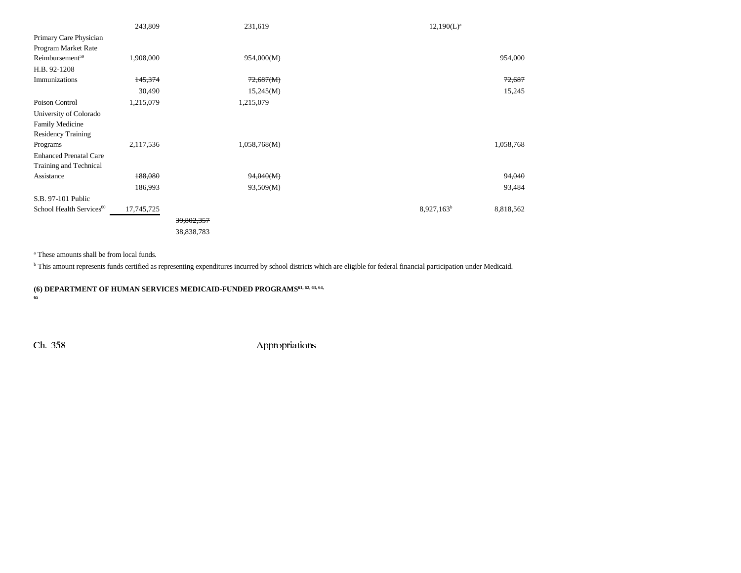|                                      | 243,809    |            | 231,619      | $12,190(L)^a$                       |
|--------------------------------------|------------|------------|--------------|-------------------------------------|
| Primary Care Physician               |            |            |              |                                     |
| Program Market Rate                  |            |            |              |                                     |
| Reimbursement <sup>59</sup>          | 1,908,000  |            | 954,000(M)   | 954,000                             |
| H.B. 92-1208                         |            |            |              |                                     |
| Immunizations                        | 145,374    |            | 72,687(M)    | 72,687                              |
|                                      | 30,490     |            | 15,245(M)    | 15,245                              |
| Poison Control                       | 1,215,079  |            | 1,215,079    |                                     |
| University of Colorado               |            |            |              |                                     |
| Family Medicine                      |            |            |              |                                     |
| <b>Residency Training</b>            |            |            |              |                                     |
| Programs                             | 2,117,536  |            | 1,058,768(M) | 1,058,768                           |
| <b>Enhanced Prenatal Care</b>        |            |            |              |                                     |
| Training and Technical               |            |            |              |                                     |
| Assistance                           | 188,080    |            | 94,040(M)    | 94,040                              |
|                                      | 186,993    |            | 93,509(M)    | 93,484                              |
| S.B. 97-101 Public                   |            |            |              |                                     |
| School Health Services <sup>60</sup> | 17,745,725 |            |              | 8,927,163 <sup>b</sup><br>8,818,562 |
|                                      |            | 39,802,357 |              |                                     |
|                                      |            | 38,838,783 |              |                                     |

a These amounts shall be from local funds.

<sup>b</sup> This amount represents funds certified as representing expenditures incurred by school districts which are eligible for federal financial participation under Medicaid.

**(6) DEPARTMENT OF HUMAN SERVICES MEDICAID-FUNDED PROGRAMS61, 62, 63, 64, 65**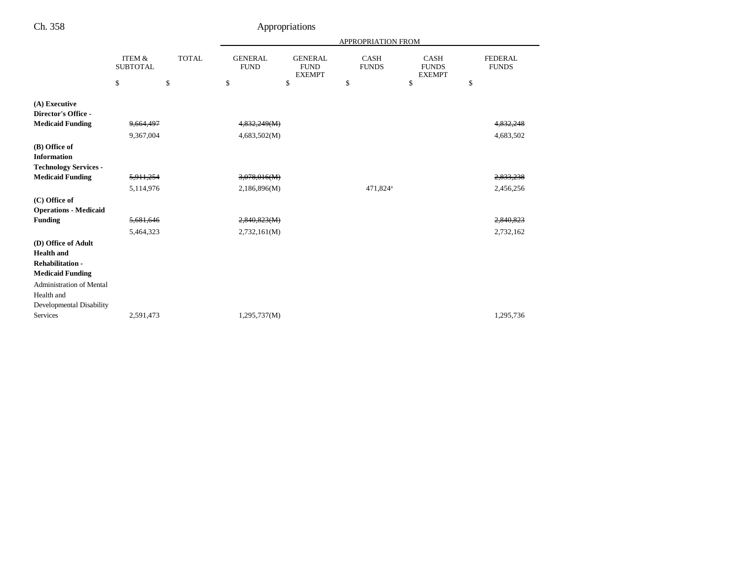|                                 |                                      |              |                               | APPROPRIATION FROM                             |                             |                                              |    |                                |
|---------------------------------|--------------------------------------|--------------|-------------------------------|------------------------------------------------|-----------------------------|----------------------------------------------|----|--------------------------------|
|                                 | <b>ITEM &amp;</b><br><b>SUBTOTAL</b> | <b>TOTAL</b> | <b>GENERAL</b><br><b>FUND</b> | <b>GENERAL</b><br><b>FUND</b><br><b>EXEMPT</b> | <b>CASH</b><br><b>FUNDS</b> | <b>CASH</b><br><b>FUNDS</b><br><b>EXEMPT</b> |    | <b>FEDERAL</b><br><b>FUNDS</b> |
|                                 | \$                                   | \$           | \$                            | \$                                             | \$                          | \$                                           | \$ |                                |
| (A) Executive                   |                                      |              |                               |                                                |                             |                                              |    |                                |
| Director's Office -             |                                      |              |                               |                                                |                             |                                              |    |                                |
| <b>Medicaid Funding</b>         | 9,664,497                            |              | 4,832,249(M)                  |                                                |                             |                                              |    | 4 <del>,832,248</del>          |
|                                 | 9,367,004                            |              | 4,683,502(M)                  |                                                |                             |                                              |    | 4,683,502                      |
| (B) Office of                   |                                      |              |                               |                                                |                             |                                              |    |                                |
| <b>Information</b>              |                                      |              |                               |                                                |                             |                                              |    |                                |
| <b>Technology Services -</b>    |                                      |              |                               |                                                |                             |                                              |    |                                |
| <b>Medicaid Funding</b>         | 5,911,254                            |              | 3,078,016(M)                  |                                                |                             |                                              |    | 2,833,238                      |
|                                 | 5,114,976                            |              | 2,186,896(M)                  |                                                | 471,824 <sup>a</sup>        |                                              |    | 2,456,256                      |
| (C) Office of                   |                                      |              |                               |                                                |                             |                                              |    |                                |
| <b>Operations - Medicaid</b>    |                                      |              |                               |                                                |                             |                                              |    |                                |
| <b>Funding</b>                  | 5,681,646                            |              | 2,840,823(M)                  |                                                |                             |                                              |    | 2,840,823                      |
|                                 | 5,464,323                            |              | 2,732,161(M)                  |                                                |                             |                                              |    | 2,732,162                      |
| (D) Office of Adult             |                                      |              |                               |                                                |                             |                                              |    |                                |
| <b>Health</b> and               |                                      |              |                               |                                                |                             |                                              |    |                                |
| <b>Rehabilitation-</b>          |                                      |              |                               |                                                |                             |                                              |    |                                |
| <b>Medicaid Funding</b>         |                                      |              |                               |                                                |                             |                                              |    |                                |
| <b>Administration of Mental</b> |                                      |              |                               |                                                |                             |                                              |    |                                |
| Health and                      |                                      |              |                               |                                                |                             |                                              |    |                                |
| <b>Developmental Disability</b> |                                      |              |                               |                                                |                             |                                              |    |                                |
| Services                        | 2,591,473                            |              | 1,295,737(M)                  |                                                |                             |                                              |    | 1,295,736                      |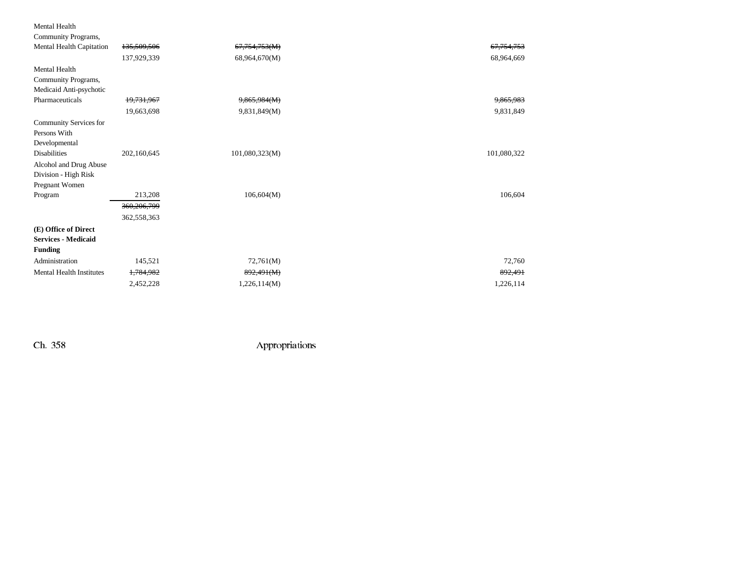### Mental Health

| Community Programs,             |             |                |             |
|---------------------------------|-------------|----------------|-------------|
| Mental Health Capitation        | 135,509,506 | 67,754,753(M)  | 67,754,753  |
|                                 | 137,929,339 | 68,964,670(M)  | 68,964,669  |
| <b>Mental Health</b>            |             |                |             |
| Community Programs,             |             |                |             |
| Medicaid Anti-psychotic         |             |                |             |
| Pharmaceuticals                 | 19,731,967  | 9,865,984(M)   | 9,865,983   |
|                                 | 19,663,698  | 9,831,849(M)   | 9,831,849   |
| Community Services for          |             |                |             |
| Persons With                    |             |                |             |
| Developmental                   |             |                |             |
| <b>Disabilities</b>             | 202,160,645 | 101,080,323(M) | 101,080,322 |
| Alcohol and Drug Abuse          |             |                |             |
| Division - High Risk            |             |                |             |
| Pregnant Women                  |             |                |             |
| Program                         | 213,208     | 106,604(M)     | 106,604     |
|                                 | 360,206,799 |                |             |
|                                 | 362,558,363 |                |             |
| (E) Office of Direct            |             |                |             |
| <b>Services - Medicaid</b>      |             |                |             |
| <b>Funding</b>                  |             |                |             |
| Administration                  | 145,521     | 72,761(M)      | 72,760      |
| <b>Mental Health Institutes</b> | 1,784,982   | 892,491(M)     | 892,491     |
|                                 | 2,452,228   | 1,226,114(M)   | 1,226,114   |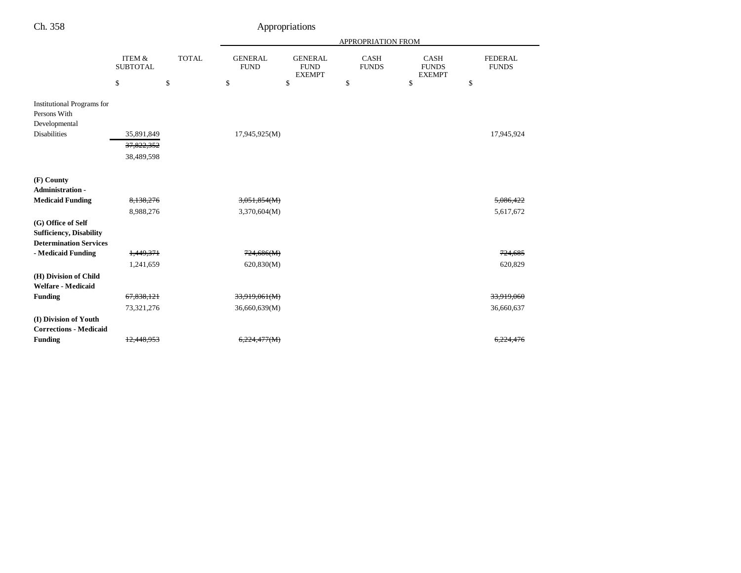| ۰, | L |  |
|----|---|--|
|----|---|--|

# Appropriations

|                                                                                           |                                      |              | <b>APPROPRIATION FROM</b>     |                                                |                             |                                              |                                |  |  |
|-------------------------------------------------------------------------------------------|--------------------------------------|--------------|-------------------------------|------------------------------------------------|-----------------------------|----------------------------------------------|--------------------------------|--|--|
|                                                                                           | <b>ITEM &amp;</b><br><b>SUBTOTAL</b> | <b>TOTAL</b> | <b>GENERAL</b><br><b>FUND</b> | <b>GENERAL</b><br><b>FUND</b><br><b>EXEMPT</b> | <b>CASH</b><br><b>FUNDS</b> | <b>CASH</b><br><b>FUNDS</b><br><b>EXEMPT</b> | <b>FEDERAL</b><br><b>FUNDS</b> |  |  |
|                                                                                           | \$                                   | \$           | \$                            | \$                                             | \$                          | \$                                           | \$                             |  |  |
| <b>Institutional Programs for</b><br>Persons With<br>Developmental<br><b>Disabilities</b> | 35,891,849                           |              | 17,945,925(M)                 |                                                |                             |                                              | 17,945,924                     |  |  |
|                                                                                           | 37,822,352<br>38,489,598             |              |                               |                                                |                             |                                              |                                |  |  |
| (F) County<br><b>Administration -</b>                                                     |                                      |              |                               |                                                |                             |                                              |                                |  |  |
| <b>Medicaid Funding</b>                                                                   | 8,138,276                            |              | 3,051,854(M)                  |                                                |                             |                                              | 5,086,422                      |  |  |
|                                                                                           | 8,988,276                            |              | 3,370,604(M)                  |                                                |                             |                                              | 5,617,672                      |  |  |
| (G) Office of Self<br><b>Sufficiency, Disability</b><br><b>Determination Services</b>     |                                      |              |                               |                                                |                             |                                              |                                |  |  |
| - Medicaid Funding                                                                        | 1,449,371                            |              | 724,686(M)                    |                                                |                             |                                              | 724,685                        |  |  |
|                                                                                           | 1,241,659                            |              | 620,830(M)                    |                                                |                             |                                              | 620,829                        |  |  |
| (H) Division of Child<br><b>Welfare - Medicaid</b>                                        |                                      |              |                               |                                                |                             |                                              |                                |  |  |
| <b>Funding</b>                                                                            | 67,838,121                           |              | 33,919,061(M)                 |                                                |                             |                                              | 33,919,060                     |  |  |
|                                                                                           | 73,321,276                           |              | 36,660,639(M)                 |                                                |                             |                                              | 36,660,637                     |  |  |
| (I) Division of Youth                                                                     |                                      |              |                               |                                                |                             |                                              |                                |  |  |
| <b>Corrections - Medicaid</b>                                                             |                                      |              |                               |                                                |                             |                                              |                                |  |  |
| <b>Funding</b>                                                                            | 12,448,953                           |              | 6,224,477(M)                  |                                                |                             |                                              | 6,224,47                       |  |  |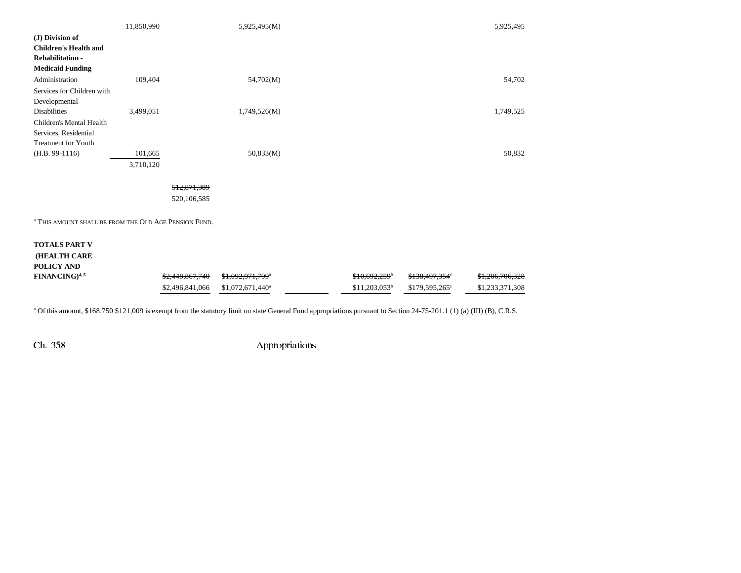|                                                                  | 11,850,990 |                 | 5,925,495(M)                 |                 |                            | 5,925,495       |
|------------------------------------------------------------------|------------|-----------------|------------------------------|-----------------|----------------------------|-----------------|
| (J) Division of<br><b>Children's Health and</b>                  |            |                 |                              |                 |                            |                 |
| <b>Rehabilitation -</b>                                          |            |                 |                              |                 |                            |                 |
| <b>Medicaid Funding</b>                                          |            |                 |                              |                 |                            |                 |
| Administration                                                   | 109,404    |                 | 54,702(M)                    |                 |                            | 54,702          |
| Services for Children with                                       |            |                 |                              |                 |                            |                 |
| Developmental                                                    |            |                 |                              |                 |                            |                 |
| <b>Disabilities</b>                                              | 3,499,051  |                 | 1,749,526(M)                 |                 |                            | 1,749,525       |
| Children's Mental Health                                         |            |                 |                              |                 |                            |                 |
| Services, Residential                                            |            |                 |                              |                 |                            |                 |
| <b>Treatment for Youth</b>                                       |            |                 |                              |                 |                            |                 |
| $(H.B. 99-1116)$                                                 | 101,665    |                 | 50,833(M)                    |                 |                            | 50,832          |
|                                                                  | 3,710,120  |                 |                              |                 |                            |                 |
|                                                                  |            | 512,871,389     |                              |                 |                            |                 |
|                                                                  |            | 520,106,585     |                              |                 |                            |                 |
|                                                                  |            |                 |                              |                 |                            |                 |
| <sup>a</sup> THIS AMOUNT SHALL BE FROM THE OLD AGE PENSION FUND. |            |                 |                              |                 |                            |                 |
| <b>TOTALS PART V</b>                                             |            |                 |                              |                 |                            |                 |
| (HEALTH CARE                                                     |            |                 |                              |                 |                            |                 |
| POLICY AND                                                       |            |                 |                              |                 |                            |                 |
| FINANCING) <sup>4,5</sup>                                        |            | \$2,448,867,740 | \$1,092,971,799*             | \$10.692.259    | \$138,497,354°             | \$1,206,706,328 |
|                                                                  |            | \$2,496,841,066 | \$1,072,671,440 <sup>a</sup> | $$11,203,053^b$ | \$179,595,265 <sup>c</sup> | \$1,233,371,308 |

<sup>a</sup> Of this amount, \$168,750 \$121,009 is exempt from the statutory limit on state General Fund appropriations pursuant to Section 24-75-201.1 (1) (a) (III) (B), C.R.S.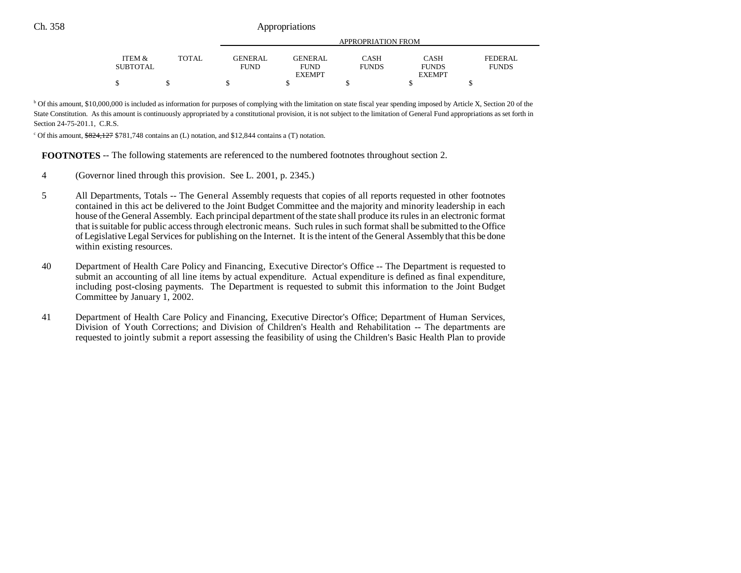|                           |              |                               | APPROPRIATION FROM            |                      |                      |                         |  |  |  |
|---------------------------|--------------|-------------------------------|-------------------------------|----------------------|----------------------|-------------------------|--|--|--|
|                           |              |                               |                               |                      |                      |                         |  |  |  |
| ITEM &<br><b>SUBTOTAL</b> | <b>TOTAL</b> | <b>GENERAL</b><br><b>FUND</b> | <b>GENERAL</b><br><b>FUND</b> | CASH<br><b>FUNDS</b> | CASH<br><b>FUNDS</b> | FEDERAL<br><b>FUNDS</b> |  |  |  |
|                           |              |                               | <b>EXEMPT</b>                 |                      | <b>EXEMPT</b>        |                         |  |  |  |
|                           |              |                               |                               |                      |                      |                         |  |  |  |

<sup>b</sup> Of this amount, \$10,000,000 is included as information for purposes of complying with the limitation on state fiscal year spending imposed by Article X, Section 20 of the State Constitution. As this amount is continuously appropriated by a constitutional provision, it is not subject to the limitation of General Fund appropriations as set forth in Section 24-75-201.1, C.R.S.

 $\degree$  Of this amount,  $\frac{624,127}{8781,748}$  contains an (L) notation, and \$12,844 contains a (T) notation.

**FOOTNOTES** -- The following statements are referenced to the numbered footnotes throughout section 2.

- 4 (Governor lined through this provision. See L. 2001, p. 2345.)
- 5 All Departments, Totals -- The General Assembly requests that copies of all reports requested in other footnotes contained in this act be delivered to the Joint Budget Committee and the majority and minority leadership in each house of the General Assembly. Each principal department of the state shall produce its rules in an electronic format that is suitable for public access through electronic means. Such rules in such format shall be submitted to the Office of Legislative Legal Services for publishing on the Internet. It is the intent of the General Assembly that this be done within existing resources.
- 40 Department of Health Care Policy and Financing, Executive Director's Office -- The Department is requested to submit an accounting of all line items by actual expenditure. Actual expenditure is defined as final expenditure, including post-closing payments. The Department is requested to submit this information to the Joint Budget Committee by January 1, 2002.
- 41 Department of Health Care Policy and Financing, Executive Director's Office; Department of Human Services, Division of Youth Corrections; and Division of Children's Health and Rehabilitation -- The departments are requested to jointly submit a report assessing the feasibility of using the Children's Basic Health Plan to provide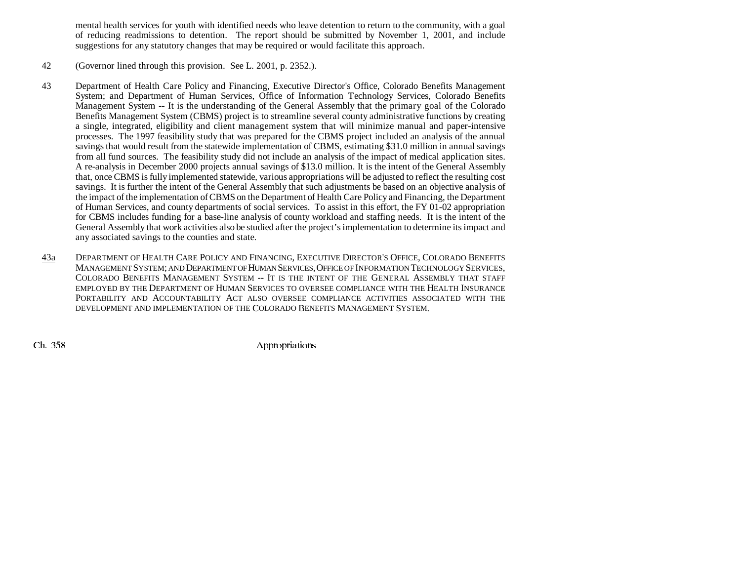mental health services for youth with identified needs who leave detention to return to the community, with a goal of reducing readmissions to detention. The report should be submitted by November 1, 2001, and include suggestions for any statutory changes that may be required or would facilitate this approach.

- 42 (Governor lined through this provision. See L. 2001, p. 2352.).
- 43 Department of Health Care Policy and Financing, Executive Director's Office, Colorado Benefits Management System; and Department of Human Services, Office of Information Technology Services, Colorado Benefits Management System -- It is the understanding of the General Assembly that the primary goal of the Colorado Benefits Management System (CBMS) project is to streamline several county administrative functions by creating a single, integrated, eligibility and client management system that will minimize manual and paper-intensive processes. The 1997 feasibility study that was prepared for the CBMS project included an analysis of the annual savings that would result from the statewide implementation of CBMS, estimating \$31.0 million in annual savings from all fund sources. The feasibility study did not include an analysis of the impact of medical application sites. A re-analysis in December 2000 projects annual savings of \$13.0 million. It is the intent of the General Assembly that, once CBMS is fully implemented statewide, various appropriations will be adjusted to reflect the resulting cost savings. It is further the intent of the General Assembly that such adjustments be based on an objective analysis of the impact of the implementation of CBMS on the Department of Health Care Policy and Financing, the Department of Human Services, and county departments of social services. To assist in this effort, the FY 01-02 appropriation for CBMS includes funding for a base-line analysis of county workload and staffing needs. It is the intent of the General Assembly that work activities also be studied after the project's implementation to determine its impact and any associated savings to the counties and state.
- 43a DEPARTMENT OF HEALTH CARE POLICY AND FINANCING, EXECUTIVE DIRECTOR'S OFFICE, COLORADO BENEFITS Management System; and Department of Human Services, Office of Information Technology Services, COLORADO BENEFITS MANAGEMENT SYSTEM -- IT IS THE INTENT OF THE GENERAL ASSEMBLY THAT STAFF EMPLOYED BY THE DEPARTMENT OF HUMAN SERVICES TO OVERSEE COMPLIANCE WITH THE HEALTH INSURANCE PORTABILITY AND ACCOUNTABILITY ACT ALSO OVERSEE COMPLIANCE ACTIVITIES ASSOCIATED WITH THE DEVELOPMENT AND IMPLEMENTATION OF THE COLORADO BENEFITS MANAGEMENT SYSTEM.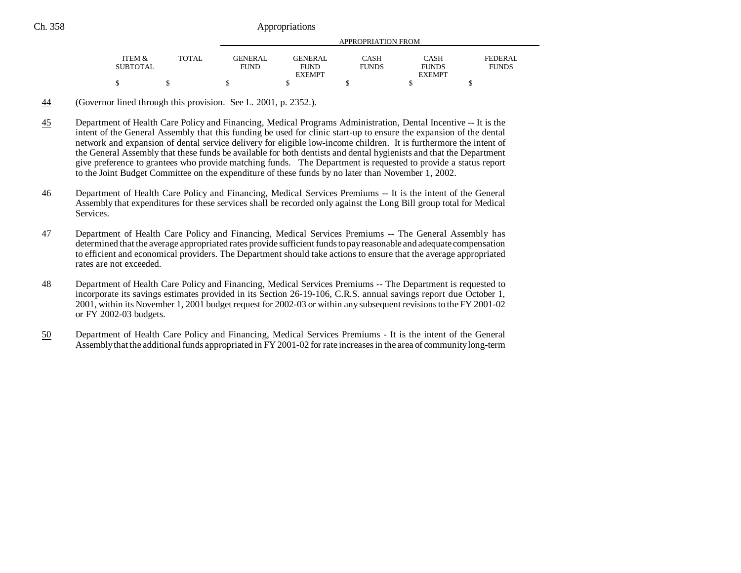|                 |       |             | APPROPRIATION FROM |              |               |              |  |  |  |
|-----------------|-------|-------------|--------------------|--------------|---------------|--------------|--|--|--|
| ITEM &          | TOTAL | GENER AL.   | <b>GENERAL</b>     | <b>CASH</b>  | <b>CASH</b>   | FEDERAL      |  |  |  |
| <b>SUBTOTAL</b> |       | <b>FUND</b> | <b>FUND</b>        | <b>FUNDS</b> | <b>FUNDS</b>  | <b>FUNDS</b> |  |  |  |
|                 |       |             | <b>EXEMPT</b>      |              | <b>EXEMPT</b> |              |  |  |  |
|                 |       |             |                    |              |               |              |  |  |  |

- 44(Governor lined through this provision. See L. 2001, p. 2352.).
- 45 Department of Health Care Policy and Financing, Medical Programs Administration, Dental Incentive -- It is the intent of the General Assembly that this funding be used for clinic start-up to ensure the expansion of the dental network and expansion of dental service delivery for eligible low-income children. It is furthermore the intent of the General Assembly that these funds be available for both dentists and dental hygienists and that the Department give preference to grantees who provide matching funds. The Department is requested to provide a status report to the Joint Budget Committee on the expenditure of these funds by no later than November 1, 2002.
- 46 Department of Health Care Policy and Financing, Medical Services Premiums -- It is the intent of the General Assembly that expenditures for these services shall be recorded only against the Long Bill group total for Medical Services.
- 47 Department of Health Care Policy and Financing, Medical Services Premiums -- The General Assembly has determined that the average appropriated rates provide sufficient funds to pay reasonable and adequate compensation to efficient and economical providers. The Department should take actions to ensure that the average appropriated rates are not exceeded.
- 48 Department of Health Care Policy and Financing, Medical Services Premiums -- The Department is requested to incorporate its savings estimates provided in its Section 26-19-106, C.R.S. annual savings report due October 1, 2001, within its November 1, 2001 budget request for 2002-03 or within any subsequent revisions to the FY 2001-02 or FY 2002-03 budgets.
- 50 Department of Health Care Policy and Financing, Medical Services Premiums - It is the intent of the General Assembly that the additional funds appropriated in FY 2001-02 for rate increases in the area of community long-term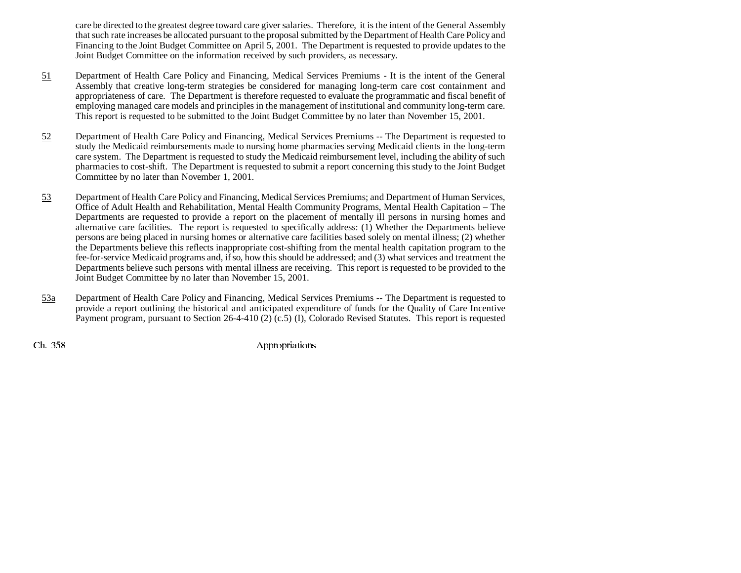care be directed to the greatest degree toward care giver salaries. Therefore, it is the intent of the General Assembly that such rate increases be allocated pursuant to the proposal submitted by the Department of Health Care Policy and Financing to the Joint Budget Committee on April 5, 2001. The Department is requested to provide updates to the Joint Budget Committee on the information received by such providers, as necessary.

- 51 Department of Health Care Policy and Financing, Medical Services Premiums - It is the intent of the General Assembly that creative long-term strategies be considered for managing long-term care cost containment and appropriateness of care. The Department is therefore requested to evaluate the programmatic and fiscal benefit of employing managed care models and principles in the management of institutional and community long-term care. This report is requested to be submitted to the Joint Budget Committee by no later than November 15, 2001.
- 52 Department of Health Care Policy and Financing, Medical Services Premiums -- The Department is requested to study the Medicaid reimbursements made to nursing home pharmacies serving Medicaid clients in the long-term care system. The Department is requested to study the Medicaid reimbursement level, including the ability of such pharmacies to cost-shift. The Department is requested to submit a report concerning this study to the Joint Budget Committee by no later than November 1, 2001.
- 53 Department of Health Care Policy and Financing, Medical Services Premiums; and Department of Human Services, Office of Adult Health and Rehabilitation, Mental Health Community Programs, Mental Health Capitation – The Departments are requested to provide a report on the placement of mentally ill persons in nursing homes and alternative care facilities. The report is requested to specifically address: (1) Whether the Departments believe persons are being placed in nursing homes or alternative care facilities based solely on mental illness; (2) whether the Departments believe this reflects inappropriate cost-shifting from the mental health capitation program to the fee-for-service Medicaid programs and, if so, how this should be addressed; and (3) what services and treatment the Departments believe such persons with mental illness are receiving. This report is requested to be provided to the Joint Budget Committee by no later than November 15, 2001.
- 53a Department of Health Care Policy and Financing, Medical Services Premiums -- The Department is requested to provide a report outlining the historical and anticipated expenditure of funds for the Quality of Care Incentive Payment program, pursuant to Section 26-4-410 (2) (c.5) (I), Colorado Revised Statutes. This report is requested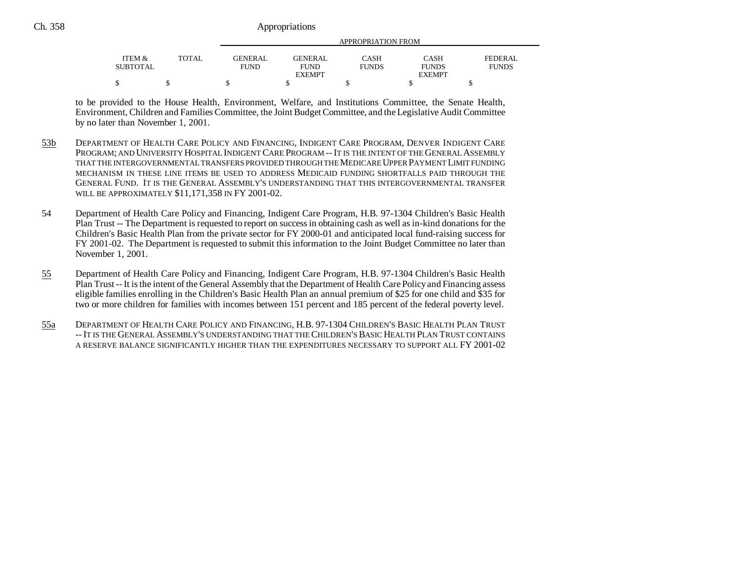|                    |       |                               | APPROPRIATION FROM      |                      |                             |                         |  |  |
|--------------------|-------|-------------------------------|-------------------------|----------------------|-----------------------------|-------------------------|--|--|
| ITEM &<br>SUBTOTAL | TOTAL | <b>GENERAL</b><br><b>FUND</b> | GENERAL.<br><b>FUND</b> | CASH<br><b>FUNDS</b> | <b>CASH</b><br><b>FUNDS</b> | FEDERAL<br><b>FUNDS</b> |  |  |
|                    |       |                               | <b>EXEMPT</b>           |                      | <b>EXEMPT</b>               |                         |  |  |
|                    |       |                               |                         |                      |                             |                         |  |  |

to be provided to the House Health, Environment, Welfare, and Institutions Committee, the Senate Health, Environment, Children and Families Committee, the Joint Budget Committee, and the Legislative Audit Committee by no later than November 1, 2001.

- 53b DEPARTMENT OF HEALTH CARE POLICY AND FINANCING, INDIGENT CARE PROGRAM, DENVER INDIGENT CARE PROGRAM; AND UNIVERSITY HOSPITAL INDIGENT CARE PROGRAM -- IT IS THE INTENT OF THE GENERAL ASSEMBLY THAT THE INTERGOVERNMENTAL TRANSFERS PROVIDED THROUGH THE MEDICARE UPPER PAYMENT LIMIT FUNDING MECHANISM IN THESE LINE ITEMS BE USED TO ADDRESS MEDICAID FUNDING SHORTFALLS PAID THROUGH THE GENERAL FUND. IT IS THE GENERAL ASSEMBLY'S UNDERSTANDING THAT THIS INTERGOVERNMENTAL TRANSFERWILL BE APPROXIMATELY \$11,171,358 IN FY 2001-02.
- 54 Department of Health Care Policy and Financing, Indigent Care Program, H.B. 97-1304 Children's Basic Health Plan Trust -- The Department is requested to report on success in obtaining cash as well as in-kind donations for the Children's Basic Health Plan from the private sector for FY 2000-01 and anticipated local fund-raising success for FY 2001-02. The Department is requested to submit this information to the Joint Budget Committee no later than November 1, 2001.
- 55 Department of Health Care Policy and Financing, Indigent Care Program, H.B. 97-1304 Children's Basic Health Plan Trust -- It is the intent of the General Assembly that the Department of Health Care Policy and Financing assess eligible families enrolling in the Children's Basic Health Plan an annual premium of \$25 for one child and \$35 for two or more children for families with incomes between 151 percent and 185 percent of the federal poverty level.
- 55a DEPARTMENT OF HEALTH CARE POLICY AND FINANCING, H.B. 97-1304 CHILDREN'S BASIC HEALTH PLAN TRUST -- IT IS THE GENERAL ASSEMBLY'S UNDERSTANDING THAT THE CHILDREN'S BASIC HEALTH PLAN TRUST CONTAINSA RESERVE BALANCE SIGNIFICANTLY HIGHER THAN THE EXPENDITURES NECESSARY TO SUPPORT ALL FY 2001-02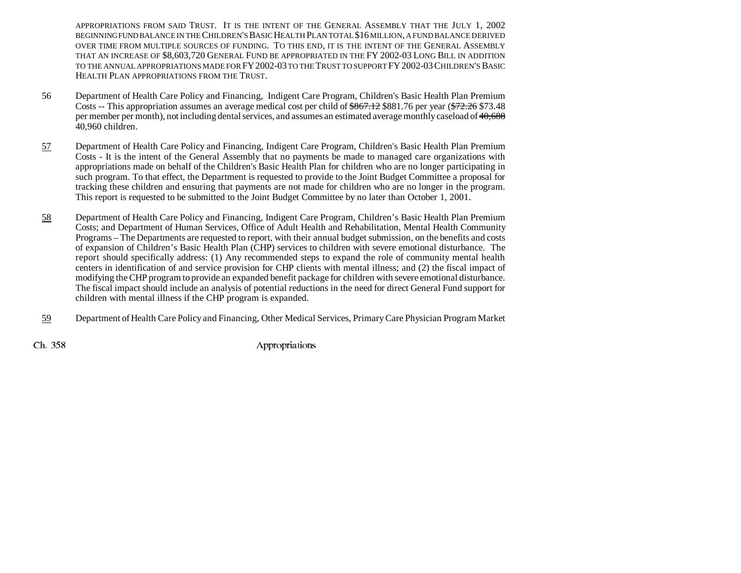APPROPRIATIONS FROM SAID TRUST. IT IS THE INTENT OF THE GENERAL ASSEMBLY THAT THE JULY 1, 2002 BEGINNING FUND BALANCE IN THE CHILDREN'S BASIC HEALTH PLAN TOTAL \$16 MILLION, A FUND BALANCE DERIVED OVER TIME FROM MULTIPLE SOURCES OF FUNDING. TO THIS END, IT IS THE INTENT OF THE GENERAL ASSEMBLYthat an increase of \$8,603,720 General Fund be appropriated in the FY 2002-03 Long Bill in addition TO THE ANNUAL APPROPRIATIONS MADE FOR FY 2002-03 TO THE TRUST TO SUPPORT FY 2002-03 CHILDREN'S BASIC HEALTH PLAN APPROPRIATIONS FROM THE TRUST.

- 56 Department of Health Care Policy and Financing, Indigent Care Program, Children's Basic Health Plan Premium Costs -- This appropriation assumes an average medical cost per child of \$867.12 \$881.76 per year (\$72.26 \$73.48 per member per month), not including dental services, and assumes an estimated average monthly caseload of 40,688 40,960 children.
- 57 Department of Health Care Policy and Financing, Indigent Care Program, Children's Basic Health Plan Premium Costs - It is the intent of the General Assembly that no payments be made to managed care organizations with appropriations made on behalf of the Children's Basic Health Plan for children who are no longer participating in such program. To that effect, the Department is requested to provide to the Joint Budget Committee a proposal for tracking these children and ensuring that payments are not made for children who are no longer in the program. This report is requested to be submitted to the Joint Budget Committee by no later than October 1, 2001.
- 58 Department of Health Care Policy and Financing, Indigent Care Program, Children's Basic Health Plan Premium Costs; and Department of Human Services, Office of Adult Health and Rehabilitation, Mental Health Community Programs – The Departments are requested to report, with their annual budget submission, on the benefits and costs of expansion of Children's Basic Health Plan (CHP) services to children with severe emotional disturbance. The report should specifically address: (1) Any recommended steps to expand the role of community mental health centers in identification of and service provision for CHP clients with mental illness; and (2) the fiscal impact of modifying the CHP program to provide an expanded benefit package for children with severe emotional disturbance. The fiscal impact should include an analysis of potential reductions in the need for direct General Fund support for children with mental illness if the CHP program is expanded.
- 59Department of Health Care Policy and Financing, Other Medical Services, Primary Care Physician Program Market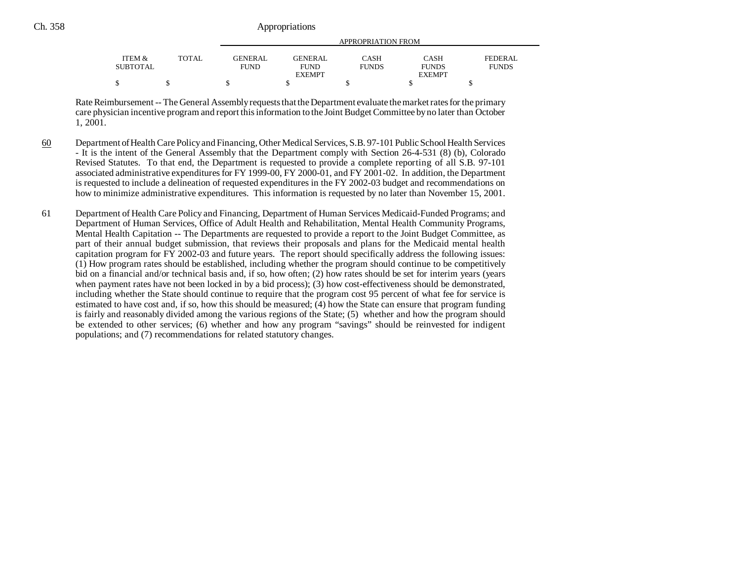|          |              |             | APPROPRIATION FROM |              |               |              |  |  |
|----------|--------------|-------------|--------------------|--------------|---------------|--------------|--|--|
| ITEM &   | <b>TOTAL</b> | GENERAL     | GENERAL            | CASH         | <b>CASH</b>   | FEDERAL      |  |  |
| SUBTOTAL |              | <b>FUND</b> | <b>FUND</b>        | <b>FUNDS</b> | <b>FUNDS</b>  | <b>FUNDS</b> |  |  |
|          |              |             | <b>EXEMPT</b>      |              | <b>EXEMPT</b> |              |  |  |
|          |              |             |                    |              |               |              |  |  |

Rate Reimbursement -- The General Assembly requests that the Department evaluate the market rates for the primary care physician incentive program and report this information to the Joint Budget Committee by no later than October 1, 2001.

- 60 Department of Health Care Policy and Financing, Other Medical Services, S.B. 97-101 Public School Health Services - It is the intent of the General Assembly that the Department comply with Section 26-4-531 (8) (b), Colorado Revised Statutes. To that end, the Department is requested to provide a complete reporting of all S.B. 97-101 associated administrative expenditures for FY 1999-00, FY 2000-01, and FY 2001-02. In addition, the Department is requested to include a delineation of requested expenditures in the FY 2002-03 budget and recommendations on how to minimize administrative expenditures. This information is requested by no later than November 15, 2001.
- 61 Department of Health Care Policy and Financing, Department of Human Services Medicaid-Funded Programs; and Department of Human Services, Office of Adult Health and Rehabilitation, Mental Health Community Programs, Mental Health Capitation -- The Departments are requested to provide a report to the Joint Budget Committee, as part of their annual budget submission, that reviews their proposals and plans for the Medicaid mental health capitation program for FY 2002-03 and future years. The report should specifically address the following issues: (1) How program rates should be established, including whether the program should continue to be competitively bid on a financial and/or technical basis and, if so, how often; (2) how rates should be set for interim years (years when payment rates have not been locked in by a bid process); (3) how cost-effectiveness should be demonstrated, including whether the State should continue to require that the program cost 95 percent of what fee for service is estimated to have cost and, if so, how this should be measured; (4) how the State can ensure that program funding is fairly and reasonably divided among the various regions of the State; (5) whether and how the program should be extended to other services; (6) whether and how any program "savings" should be reinvested for indigent populations; and (7) recommendations for related statutory changes.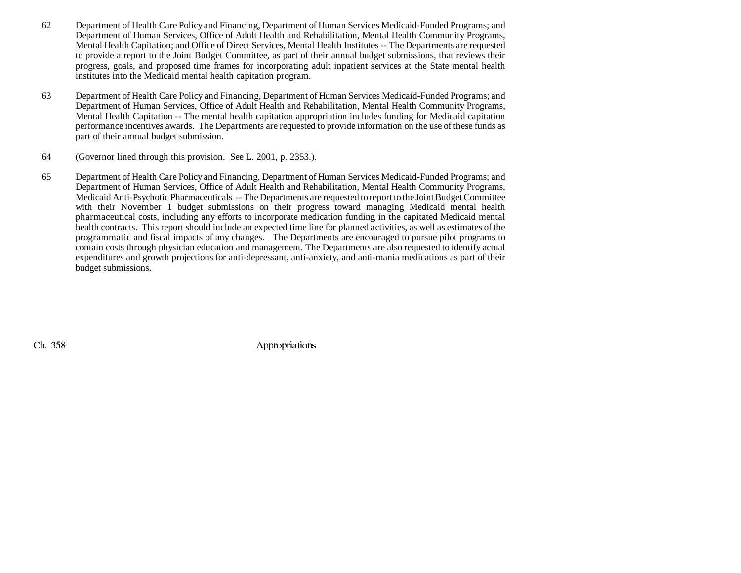- 62 Department of Health Care Policy and Financing, Department of Human Services Medicaid-Funded Programs; and Department of Human Services, Office of Adult Health and Rehabilitation, Mental Health Community Programs, Mental Health Capitation; and Office of Direct Services, Mental Health Institutes -- The Departments are requested to provide a report to the Joint Budget Committee, as part of their annual budget submissions, that reviews their progress, goals, and proposed time frames for incorporating adult inpatient services at the State mental health institutes into the Medicaid mental health capitation program.
- 63 Department of Health Care Policy and Financing, Department of Human Services Medicaid-Funded Programs; and Department of Human Services, Office of Adult Health and Rehabilitation, Mental Health Community Programs, Mental Health Capitation -- The mental health capitation appropriation includes funding for Medicaid capitation performance incentives awards. The Departments are requested to provide information on the use of these funds as part of their annual budget submission.
- 64 (Governor lined through this provision. See L. 2001, p. 2353.).
- 65 Department of Health Care Policy and Financing, Department of Human Services Medicaid-Funded Programs; and Department of Human Services, Office of Adult Health and Rehabilitation, Mental Health Community Programs, Medicaid Anti-Psychotic Pharmaceuticals -- The Departments are requested to report to the Joint Budget Committee with their November 1 budget submissions on their progress toward managing Medicaid mental health pharmaceutical costs, including any efforts to incorporate medication funding in the capitated Medicaid mental health contracts. This report should include an expected time line for planned activities, as well as estimates of the programmatic and fiscal impacts of any changes. The Departments are encouraged to pursue pilot programs to contain costs through physician education and management. The Departments are also requested to identify actual expenditures and growth projections for anti-depressant, anti-anxiety, and anti-mania medications as part of their budget submissions.